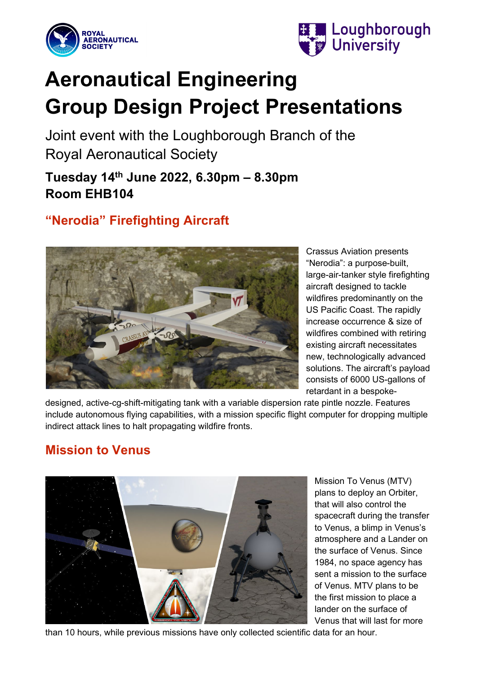



# **Aeronautical Engineering Group Design Project Presentations**

Joint event with the Loughborough Branch of the Royal Aeronautical Society

**Tuesday 14th June 2022, 6.30pm – 8.30pm Room EHB104**

## **"Nerodia" Firefighting Aircraft**



Crassus Aviation presents "Nerodia": a purpose-built, large-air-tanker style firefighting aircraft designed to tackle wildfires predominantly on the US Pacific Coast. The rapidly increase occurrence & size of wildfires combined with retiring existing aircraft necessitates new, technologically advanced solutions. The aircraft's payload consists of 6000 US-gallons of retardant in a bespoke-

designed, active-cg-shift-mitigating tank with a variable dispersion rate pintle nozzle. Features include autonomous flying capabilities, with a mission specific flight computer for dropping multiple indirect attack lines to halt propagating wildfire fronts.

## **Mission to Venus**



Mission To Venus (MTV) plans to deploy an Orbiter, that will also control the spacecraft during the transfer to Venus, a blimp in Venus's atmosphere and a Lander on the surface of Venus. Since 1984, no space agency has sent a mission to the surface of Venus. MTV plans to be the first mission to place a lander on the surface of Venus that will last for more

than 10 hours, while previous missions have only collected scientific data for an hour.